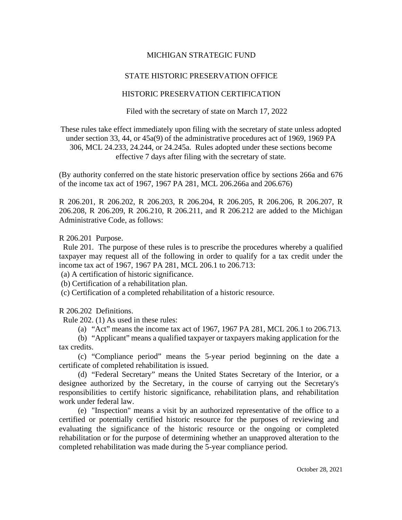## MICHIGAN STRATEGIC FUND

## STATE HISTORIC PRESERVATION OFFICE

## HISTORIC PRESERVATION CERTIFICATION

Filed with the secretary of state on March 17, 2022

These rules take effect immediately upon filing with the secretary of state unless adopted under section 33, 44, or 45a(9) of the administrative procedures act of 1969, 1969 PA 306, MCL 24.233, 24.244, or 24.245a. Rules adopted under these sections become effective 7 days after filing with the secretary of state.

(By authority conferred on the state historic preservation office by sections 266a and 676 of the income tax act of 1967, 1967 PA 281, MCL 206.266a and 206.676)

R 206.201, R 206.202, R 206.203, R 206.204, R 206.205, R 206.206, R 206.207, R 206.208, R 206.209, R 206.210, R 206.211, and R 206.212 are added to the Michigan Administrative Code, as follows:

R 206.201 Purpose.

 Rule 201. The purpose of these rules is to prescribe the procedures whereby a qualified taxpayer may request all of the following in order to qualify for a tax credit under the income tax act of 1967, 1967 PA 281, MCL 206.1 to 206.713:

(a) A certification of historic significance.

(b) Certification of a rehabilitation plan.

(c) Certification of a completed rehabilitation of a historic resource.

R 206.202 Definitions.

Rule 202. (1) As used in these rules:

(a) "Act" means the income tax act of 1967, 1967 PA 281, MCL 206.1 to 206.713*.*

(b) "Applicant" means a qualified taxpayer or taxpayers making application for the tax credits.

(c) "Compliance period" means the 5-year period beginning on the date a certificate of completed rehabilitation is issued.

(d) "Federal Secretary" means the United States Secretary of the Interior, or a designee authorized by the Secretary, in the course of carrying out the Secretary's responsibilities to certify historic significance, rehabilitation plans, and rehabilitation work under federal law.

(e) "Inspection" means a visit by an authorized representative of the office to a certified or potentially certified historic resource for the purposes of reviewing and evaluating the significance of the historic resource or the ongoing or completed rehabilitation or for the purpose of determining whether an unapproved alteration to the completed rehabilitation was made during the 5-year compliance period.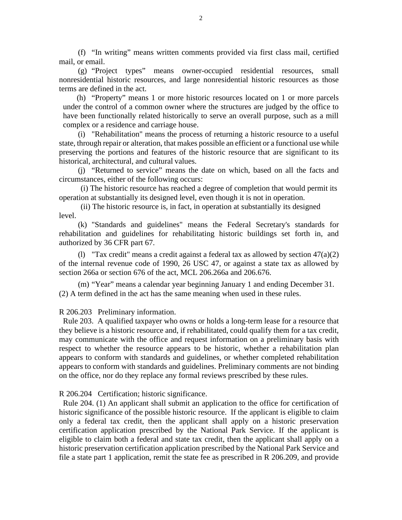(f) "In writing" means written comments provided via first class mail, certified mail, or email.

(g) "Project types" means owner-occupied residential resources, small nonresidential historic resources, and large nonresidential historic resources as those terms are defined in the act.

(h) "Property" means 1 or more historic resources located on 1 or more parcels under the control of a common owner where the structures are judged by the office to have been functionally related historically to serve an overall purpose, such as a mill complex or a residence and carriage house.

(i) "Rehabilitation" means the process of returning a historic resource to a useful state, through repair or alteration, that makes possible an efficient or a functional use while preserving the portions and features of the historic resource that are significant to its historical, architectural, and cultural values.

(j) "Returned to service" means the date on which, based on all the facts and circumstances, either of the following occurs:

 (i) The historic resource has reached a degree of completion that would permit its operation at substantially its designed level, even though it is not in operation.

 (ii) The historic resource is, in fact, in operation at substantially its designed level.

(k) "Standards and guidelines" means the Federal Secretary's standards for rehabilitation and guidelines for rehabilitating historic buildings set forth in, and authorized by 36 CFR part 67.

(1) "Tax credit" means a credit against a federal tax as allowed by section  $47(a)(2)$ of the internal revenue code of 1990, 26 USC 47, or against a state tax as allowed by section 266a or section 676 of the act, MCL 206.266a and 206.676.

(m) "Year" means a calendar year beginning January 1 and ending December 31. (2) A term defined in the act has the same meaning when used in these rules.

R 206.203 Preliminary information.

 Rule 203. A qualified taxpayer who owns or holds a long-term lease for a resource that they believe is a historic resource and, if rehabilitated, could qualify them for a tax credit, may communicate with the office and request information on a preliminary basis with respect to whether the resource appears to be historic, whether a rehabilitation plan appears to conform with standards and guidelines, or whether completed rehabilitation appears to conform with standards and guidelines. Preliminary comments are not binding on the office, nor do they replace any formal reviews prescribed by these rules.

R 206.204 Certification; historic significance.

 Rule 204. (1) An applicant shall submit an application to the office for certification of historic significance of the possible historic resource. If the applicant is eligible to claim only a federal tax credit, then the applicant shall apply on a historic preservation certification application prescribed by the National Park Service. If the applicant is eligible to claim both a federal and state tax credit, then the applicant shall apply on a historic preservation certification application prescribed by the National Park Service and file a state part 1 application, remit the state fee as prescribed in R 206.209, and provide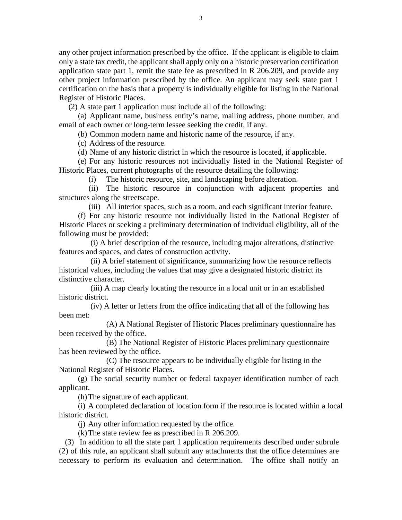any other project information prescribed by the office. If the applicant is eligible to claim only a state tax credit, the applicant shall apply only on a historic preservation certification application state part 1, remit the state fee as prescribed in R 206.209, and provide any other project information prescribed by the office. An applicant may seek state part 1 certification on the basis that a property is individually eligible for listing in the National Register of Historic Places.

(2) A state part 1 application must include all of the following:

(a) Applicant name, business entity's name, mailing address, phone number, and email of each owner or long-term lessee seeking the credit, if any.

(b) Common modern name and historic name of the resource, if any.

(c) Address of the resource.

(d) Name of any historic district in which the resource is located, if applicable.

(e) For any historic resources not individually listed in the National Register of Historic Places, current photographs of the resource detailing the following:

(i) The historic resource, site, and landscaping before alteration.

(ii) The historic resource in conjunction with adjacent properties and structures along the streetscape.

(iii) All interior spaces, such as a room, and each significant interior feature.

(f) For any historic resource not individually listed in the National Register of Historic Places or seeking a preliminary determination of individual eligibility, all of the following must be provided:

(i) A brief description of the resource, including major alterations, distinctive features and spaces, and dates of construction activity.

(ii) A brief statement of significance, summarizing how the resource reflects historical values, including the values that may give a designated historic district its distinctive character.

(iii) A map clearly locating the resource in a local unit or in an established historic district.

(iv) A letter or letters from the office indicating that all of the following has been met:

 (A) A National Register of Historic Places preliminary questionnaire has been received by the office.

 (B) The National Register of Historic Places preliminary questionnaire has been reviewed by the office.

 (C) The resource appears to be individually eligible for listing in the National Register of Historic Places.

(g) The social security number or federal taxpayer identification number of each applicant.

(h)The signature of each applicant.

(i) A completed declaration of location form if the resource is located within a local historic district.

(j) Any other information requested by the office.

(k)The state review fee as prescribed in R 206.209.

(3) In addition to all the state part 1 application requirements described under subrule (2) of this rule, an applicant shall submit any attachments that the office determines are necessary to perform its evaluation and determination. The office shall notify an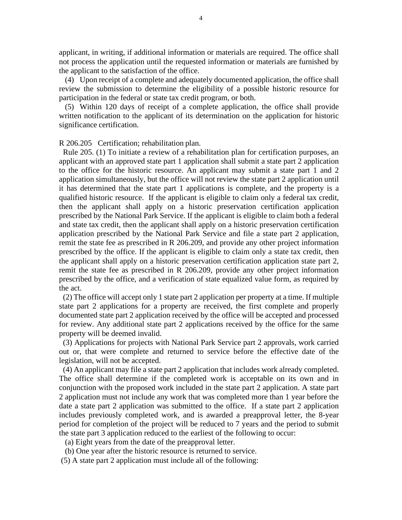applicant, in writing, if additional information or materials are required. The office shall not process the application until the requested information or materials are furnished by the applicant to the satisfaction of the office.

(4) Upon receipt of a complete and adequately documented application, the office shall review the submission to determine the eligibility of a possible historic resource for participation in the federal or state tax credit program, or both.

(5) Within 120 days of receipt of a complete application, the office shall provide written notification to the applicant of its determination on the application for historic significance certification.

R 206.205 Certification; rehabilitation plan.

 Rule 205. (1) To initiate a review of a rehabilitation plan for certification purposes, an applicant with an approved state part 1 application shall submit a state part 2 application to the office for the historic resource. An applicant may submit a state part 1 and 2 application simultaneously, but the office will not review the state part 2 application until it has determined that the state part 1 applications is complete, and the property is a qualified historic resource. If the applicant is eligible to claim only a federal tax credit, then the applicant shall apply on a historic preservation certification application prescribed by the National Park Service. If the applicant is eligible to claim both a federal and state tax credit, then the applicant shall apply on a historic preservation certification application prescribed by the National Park Service and file a state part 2 application, remit the state fee as prescribed in R 206.209, and provide any other project information prescribed by the office. If the applicant is eligible to claim only a state tax credit, then the applicant shall apply on a historic preservation certification application state part 2, remit the state fee as prescribed in R 206.209, provide any other project information prescribed by the office, and a verification of state equalized value form, as required by the act.

 (2) The office will accept only 1 state part 2 application per property at a time. If multiple state part 2 applications for a property are received, the first complete and properly documented state part 2 application received by the office will be accepted and processed for review. Any additional state part 2 applications received by the office for the same property will be deemed invalid.

 (3) Applications for projects with National Park Service part 2 approvals, work carried out or, that were complete and returned to service before the effective date of the legislation, will not be accepted.

 (4) An applicant may file a state part 2 application that includes work already completed. The office shall determine if the completed work is acceptable on its own and in conjunction with the proposed work included in the state part 2 application. A state part 2 application must not include any work that was completed more than 1 year before the date a state part 2 application was submitted to the office. If a state part 2 application includes previously completed work, and is awarded a preapproval letter, the 8-year period for completion of the project will be reduced to 7 years and the period to submit the state part 3 application reduced to the earliest of the following to occur:

(a) Eight years from the date of the preapproval letter.

- (b) One year after the historic resource is returned to service.
- (5) A state part 2 application must include all of the following: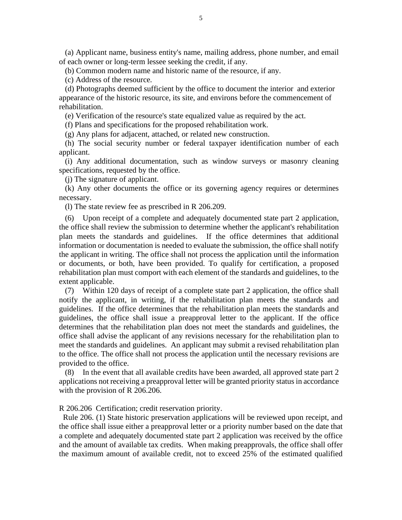(a) Applicant name, business entity's name, mailing address, phone number, and email of each owner or long-term lessee seeking the credit, if any.

(b) Common modern name and historic name of the resource, if any.

(c) Address of the resource.

 (d) Photographs deemed sufficient by the office to document the interior and exterior appearance of the historic resource, its site, and environs before the commencement of rehabilitation.

(e) Verification of the resource's state equalized value as required by the act.

(f) Plans and specifications for the proposed rehabilitation work.

(g) Any plans for adjacent, attached, or related new construction.

 (h) The social security number or federal taxpayer identification number of each applicant.

 (i) Any additional documentation, such as window surveys or masonry cleaning specifications, requested by the office.

(j) The signature of applicant.

 (k) Any other documents the office or its governing agency requires or determines necessary.

(l) The state review fee as prescribed in R 206.209.

(6) Upon receipt of a complete and adequately documented state part 2 application, the office shall review the submission to determine whether the applicant's rehabilitation plan meets the standards and guidelines. If the office determines that additional information or documentation is needed to evaluate the submission, the office shall notify the applicant in writing. The office shall not process the application until the information or documents, or both, have been provided. To qualify for certification, a proposed rehabilitation plan must comport with each element of the standards and guidelines, to the extent applicable.

(7) Within 120 days of receipt of a complete state part 2 application, the office shall notify the applicant, in writing, if the rehabilitation plan meets the standards and guidelines. If the office determines that the rehabilitation plan meets the standards and guidelines, the office shall issue a preapproval letter to the applicant. If the office determines that the rehabilitation plan does not meet the standards and guidelines, the office shall advise the applicant of any revisions necessary for the rehabilitation plan to meet the standards and guidelines. An applicant may submit a revised rehabilitation plan to the office. The office shall not process the application until the necessary revisions are provided to the office.

(8) In the event that all available credits have been awarded, all approved state part 2 applications not receiving a preapproval letter will be granted priority status in accordance with the provision of R 206.206.

R 206.206 Certification; credit reservation priority.

 Rule 206. (1) State historic preservation applications will be reviewed upon receipt, and the office shall issue either a preapproval letter or a priority number based on the date that a complete and adequately documented state part 2 application was received by the office and the amount of available tax credits. When making preapprovals, the office shall offer the maximum amount of available credit, not to exceed 25% of the estimated qualified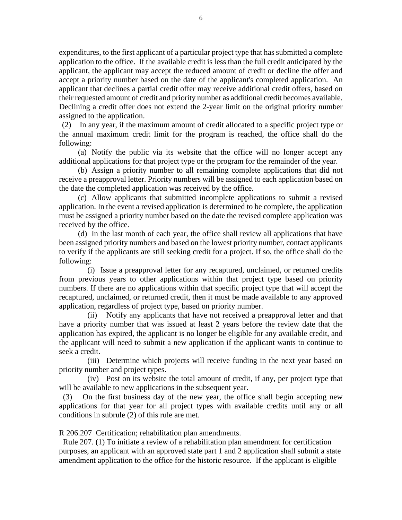expenditures, to the first applicant of a particular project type that has submitted a complete application to the office. If the available credit is less than the full credit anticipated by the applicant, the applicant may accept the reduced amount of credit or decline the offer and accept a priority number based on the date of the applicant's completed application. An applicant that declines a partial credit offer may receive additional credit offers, based on their requested amount of credit and priority number as additional credit becomes available. Declining a credit offer does not extend the 2-year limit on the original priority number assigned to the application.

(2) In any year, if the maximum amount of credit allocated to a specific project type or the annual maximum credit limit for the program is reached, the office shall do the following:

(a) Notify the public via its website that the office will no longer accept any additional applications for that project type or the program for the remainder of the year.

(b) Assign a priority number to all remaining complete applications that did not receive a preapproval letter. Priority numbers will be assigned to each application based on the date the completed application was received by the office.

(c) Allow applicants that submitted incomplete applications to submit a revised application. In the event a revised application is determined to be complete, the application must be assigned a priority number based on the date the revised complete application was received by the office.

(d) In the last month of each year, the office shall review all applications that have been assigned priority numbers and based on the lowest priority number, contact applicants to verify if the applicants are still seeking credit for a project. If so, the office shall do the following:

(i) Issue a preapproval letter for any recaptured, unclaimed, or returned credits from previous years to other applications within that project type based on priority numbers. If there are no applications within that specific project type that will accept the recaptured, unclaimed, or returned credit, then it must be made available to any approved application, regardless of project type, based on priority number.

(ii) Notify any applicants that have not received a preapproval letter and that have a priority number that was issued at least 2 years before the review date that the application has expired, the applicant is no longer be eligible for any available credit, and the applicant will need to submit a new application if the applicant wants to continue to seek a credit.

(iii) Determine which projects will receive funding in the next year based on priority number and project types.

(iv) Post on its website the total amount of credit, if any, per project type that will be available to new applications in the subsequent year.

 (3) On the first business day of the new year, the office shall begin accepting new applications for that year for all project types with available credits until any or all conditions in subrule (2) of this rule are met.

R 206.207 Certification; rehabilitation plan amendments.

 Rule 207. (1) To initiate a review of a rehabilitation plan amendment for certification purposes, an applicant with an approved state part 1 and 2 application shall submit a state amendment application to the office for the historic resource. If the applicant is eligible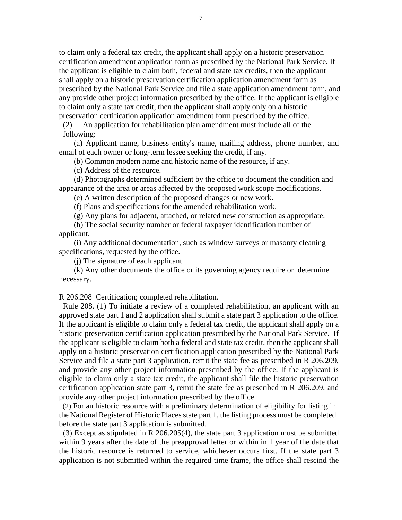to claim only a federal tax credit, the applicant shall apply on a historic preservation certification amendment application form as prescribed by the National Park Service. If the applicant is eligible to claim both, federal and state tax credits, then the applicant shall apply on a historic preservation certification application amendment form as prescribed by the National Park Service and file a state application amendment form, and any provide other project information prescribed by the office. If the applicant is eligible to claim only a state tax credit, then the applicant shall apply only on a historic preservation certification application amendment form prescribed by the office.

(2) An application for rehabilitation plan amendment must include all of the following:

(a) Applicant name, business entity's name, mailing address, phone number, and email of each owner or long-term lessee seeking the credit, if any.

(b) Common modern name and historic name of the resource, if any.

(c) Address of the resource.

(d) Photographs determined sufficient by the office to document the condition and appearance of the area or areas affected by the proposed work scope modifications.

(e) A written description of the proposed changes or new work.

(f) Plans and specifications for the amended rehabilitation work.

(g) Any plans for adjacent, attached, or related new construction as appropriate.

(h) The social security number or federal taxpayer identification number of applicant.

(i) Any additional documentation, such as window surveys or masonry cleaning specifications, requested by the office.

(j) The signature of each applicant.

(k) Any other documents the office or its governing agency require or determine necessary.

R 206.208 Certification; completed rehabilitation.

 Rule 208. (1) To initiate a review of a completed rehabilitation, an applicant with an approved state part 1 and 2 application shall submit a state part 3 application to the office. If the applicant is eligible to claim only a federal tax credit, the applicant shall apply on a historic preservation certification application prescribed by the National Park Service. If the applicant is eligible to claim both a federal and state tax credit, then the applicant shall apply on a historic preservation certification application prescribed by the National Park Service and file a state part 3 application, remit the state fee as prescribed in R 206.209, and provide any other project information prescribed by the office. If the applicant is eligible to claim only a state tax credit, the applicant shall file the historic preservation certification application state part 3, remit the state fee as prescribed in R 206.209, and provide any other project information prescribed by the office.

 (2) For an historic resource with a preliminary determination of eligibility for listing in the National Register of Historic Places state part 1, the listing process must be completed before the state part 3 application is submitted.

 (3) Except as stipulated in R 206.205(4), the state part 3 application must be submitted within 9 years after the date of the preapproval letter or within in 1 year of the date that the historic resource is returned to service, whichever occurs first. If the state part 3 application is not submitted within the required time frame, the office shall rescind the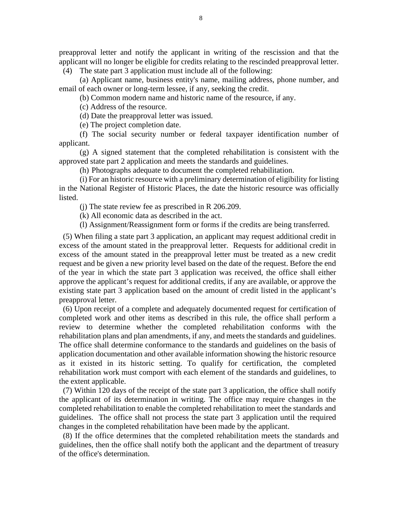preapproval letter and notify the applicant in writing of the rescission and that the applicant will no longer be eligible for credits relating to the rescinded preapproval letter.

(4) The state part 3 application must include all of the following:

(a) Applicant name, business entity's name, mailing address, phone number, and email of each owner or long-term lessee, if any, seeking the credit.

(b) Common modern name and historic name of the resource, if any.

(c) Address of the resource.

(d) Date the preapproval letter was issued.

(e) The project completion date.

(f) The social security number or federal taxpayer identification number of applicant.

(g) A signed statement that the completed rehabilitation is consistent with the approved state part 2 application and meets the standards and guidelines.

(h) Photographs adequate to document the completed rehabilitation.

(i) For an historic resource with a preliminary determination of eligibility for listing in the National Register of Historic Places, the date the historic resource was officially listed.

(j) The state review fee as prescribed in R 206.209.

(k) All economic data as described in the act.

(l) Assignment/Reassignment form or forms if the credits are being transferred.

 (5) When filing a state part 3 application, an applicant may request additional credit in excess of the amount stated in the preapproval letter. Requests for additional credit in excess of the amount stated in the preapproval letter must be treated as a new credit request and be given a new priority level based on the date of the request. Before the end of the year in which the state part 3 application was received, the office shall either approve the applicant's request for additional credits, if any are available, or approve the existing state part 3 application based on the amount of credit listed in the applicant's preapproval letter.

 (6) Upon receipt of a complete and adequately documented request for certification of completed work and other items as described in this rule, the office shall perform a review to determine whether the completed rehabilitation conforms with the rehabilitation plans and plan amendments, if any, and meets the standards and guidelines. The office shall determine conformance to the standards and guidelines on the basis of application documentation and other available information showing the historic resource as it existed in its historic setting. To qualify for certification, the completed rehabilitation work must comport with each element of the standards and guidelines, to the extent applicable.

 (7) Within 120 days of the receipt of the state part 3 application, the office shall notify the applicant of its determination in writing. The office may require changes in the completed rehabilitation to enable the completed rehabilitation to meet the standards and guidelines. The office shall not process the state part 3 application until the required changes in the completed rehabilitation have been made by the applicant.

 (8) If the office determines that the completed rehabilitation meets the standards and guidelines, then the office shall notify both the applicant and the department of treasury of the office's determination.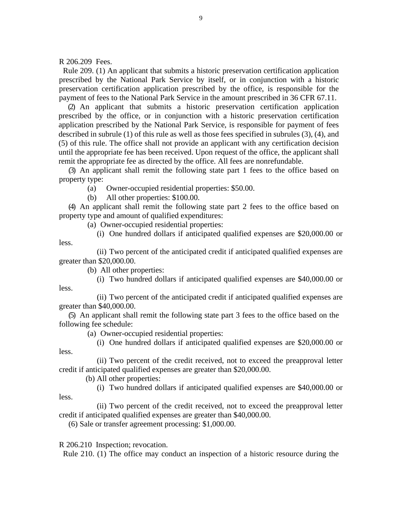R 206.209 Fees.

 Rule 209. (1) An applicant that submits a historic preservation certification application prescribed by the National Park Service by itself, or in conjunction with a historic preservation certification application prescribed by the office, is responsible for the payment of fees to the National Park Service in the amount prescribed in 36 CFR 67.11.

(2) An applicant that submits a historic preservation certification application prescribed by the office, or in conjunction with a historic preservation certification application prescribed by the National Park Service, is responsible for payment of fees described in subrule (1) of this rule as well as those fees specified in subrules (3), (4), and (5) of this rule. The office shall not provide an applicant with any certification decision until the appropriate fee has been received. Upon request of the office, the applicant shall remit the appropriate fee as directed by the office. All fees are nonrefundable.

(3) An applicant shall remit the following state part 1 fees to the office based on property type:

(a) Owner-occupied residential properties: \$50.00.

(b) All other properties: \$100.00.

(4) An applicant shall remit the following state part 2 fees to the office based on property type and amount of qualified expenditures:

(a) Owner-occupied residential properties:

(i) One hundred dollars if anticipated qualified expenses are \$20,000.00 or less.

(ii) Two percent of the anticipated credit if anticipated qualified expenses are greater than \$20,000.00.

(b) All other properties:

less.

less.

(i) Two hundred dollars if anticipated qualified expenses are \$40,000.00 or

(ii) Two percent of the anticipated credit if anticipated qualified expenses are greater than \$40,000.00.

(5) An applicant shall remit the following state part 3 fees to the office based on the following fee schedule:

(a) Owner-occupied residential properties:

(i) One hundred dollars if anticipated qualified expenses are \$20,000.00 or less.

(ii) Two percent of the credit received, not to exceed the preapproval letter credit if anticipated qualified expenses are greater than \$20,000.00.

(b) All other properties:

(i) Two hundred dollars if anticipated qualified expenses are \$40,000.00 or

(ii) Two percent of the credit received, not to exceed the preapproval letter credit if anticipated qualified expenses are greater than \$40,000.00.

(6) Sale or transfer agreement processing: \$1,000.00.

R 206.210 Inspection; revocation.

Rule 210. (1) The office may conduct an inspection of a historic resource during the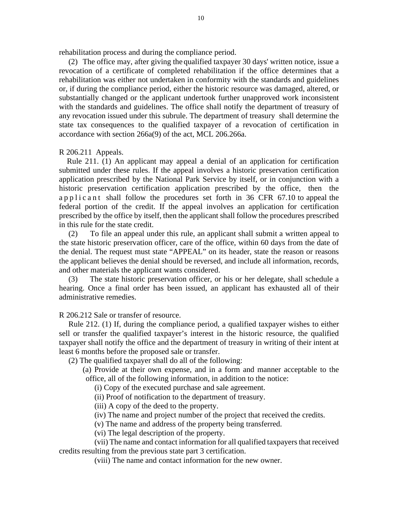rehabilitation process and during the compliance period.

(2) The office may, after giving the qualified taxpayer 30 days' written notice, issue a revocation of a certificate of completed rehabilitation if the office determines that a rehabilitation was either not undertaken in conformity with the standards and guidelines or, if during the compliance period, either the historic resource was damaged, altered, or substantially changed or the applicant undertook further unapproved work inconsistent with the standards and guidelines. The office shall notify the department of treasury of any revocation issued under this subrule. The department of treasury shall determine the state tax consequences to the qualified taxpayer of a revocation of certification in accordance with section 266a(9) of the act, MCL 206.266a.

R 206.211 Appeals.

 Rule 211. (1) An applicant may appeal a denial of an application for certification submitted under these rules. If the appeal involves a historic preservation certification application prescribed by the National Park Service by itself, or in conjunction with a historic preservation certification application prescribed by the office, then the applicant shall follow the procedures set forth in 36 CFR 67.10 to appeal the federal portion of the credit. If the appeal involves an application for certification prescribed by the office by itself, then the applicant shall follow the procedures prescribed in this rule for the state credit.

To file an appeal under this rule, an applicant shall submit a written appeal to the state historic preservation officer, care of the office, within 60 days from the date of the denial. The request must state "APPEAL" on its header, state the reason or reasons the applicant believes the denial should be reversed, and include all information, records, and other materials the applicant wants considered.

(3) The state historic preservation officer, or his or her delegate, shall schedule a hearing. Once a final order has been issued, an applicant has exhausted all of their administrative remedies.

R 206.212 Sale or transfer of resource.

Rule 212. (1) If, during the compliance period, a qualified taxpayer wishes to either sell or transfer the qualified taxpayer's interest in the historic resource, the qualified taxpayer shall notify the office and the department of treasury in writing of their intent at least 6 months before the proposed sale or transfer.

(2) The qualified taxpayer shall do all of the following:

(a) Provide at their own expense, and in a form and manner acceptable to the office, all of the following information, in addition to the notice:

(i) Copy of the executed purchase and sale agreement.

(ii) Proof of notification to the department of treasury.

(iii) A copy of the deed to the property.

(iv) The name and project number of the project that received the credits.

(v) The name and address of the property being transferred.

(vi) The legal description of the property.

(vii) The name and contact information for all qualified taxpayers that received credits resulting from the previous state part 3 certification.

(viii) The name and contact information for the new owner.